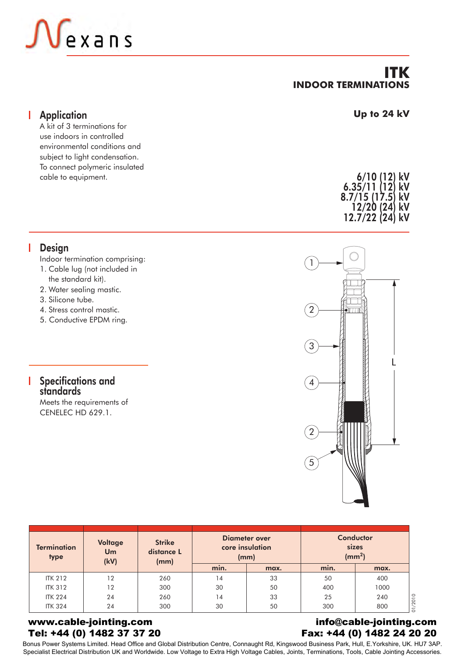

## **ITK INDOOR TERMINATIONS**

#### **Application** I

A kit of 3 terminations for use indoors in controlled environmental conditions and subject to light condensation. To connect polymeric insulated cable to equipment.

#### **Up to 24 kV**

6/10 (12) kV 6.35/11 (12) kV 8.7/15 (17.5) kV 12/20 (24) kV 12.7/22 (24) kV

# **Design**

Indoor termination comprising:

- 1. Cable lug (not included in the standard kit).
- 2. Water sealing mastic.
- 3. Silicone tube.
- 4. Stress control mastic.
- 5. Conductive EPDM ring.

#### Specifications and standards

Meets the requirements of CENELEC HD 629.1.



| <b>Termination</b><br>type | Voltage<br><b>Um</b><br>(kV) | <b>Strike</b><br>distance L<br>(mm) |      | Diameter over<br>core insulation<br>(mm) |      | Conductor<br>sizes<br>(mm <sup>2</sup> ) |
|----------------------------|------------------------------|-------------------------------------|------|------------------------------------------|------|------------------------------------------|
|                            |                              |                                     | min. | max.                                     | min. | max.                                     |
| <b>ITK 212</b>             | 12                           | 260                                 | 14   | 33                                       | 50   | 400                                      |
| <b>ITK 312</b>             | 12                           | 300                                 | 30   | 50                                       | 400  | 1000                                     |
| <b>ITK 224</b>             | 24                           | 260                                 | 14   | 33                                       | 25   | 240                                      |
| <b>ITK 324</b>             | 24                           | 300                                 | 30   | 50                                       | 300  | 800                                      |

#### www.cable-jointing.com Tel: +44 (0) 1482 37 37 20

#### info@cable-jointing.com Fax: +44 (0) 1482 24 20 20

Bonus Power Systems Limited. Head Office and Global Distribution Centre, Connaught Rd, Kingswood Business Park, Hull, E.Yorkshire, UK. HU7 3AP. Specialist Electrical Distribution UK and Worldwide. Low Voltage to Extra High Voltage Cables, Joints, Terminations, Tools, Cable Jointing Accessories.